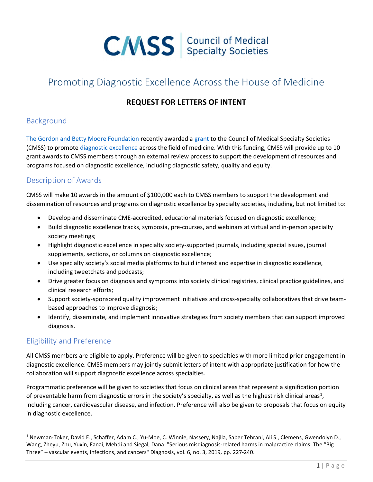

# Promoting Diagnostic Excellence Across the House of Medicine

#### REQUEST FOR LETTERS OF INTENT

## Background

The Gordon and Betty Moore Foundation recently awarded a grant to the Council of Medical Specialty Societies (CMSS) to promote diagnostic excellence across the field of medicine. With this funding, CMSS will provide up to 10 grant awards to CMSS members through an external review process to support the development of resources and programs focused on diagnostic excellence, including diagnostic safety, quality and equity.

# Description of Awards

CMSS will make 10 awards in the amount of \$100,000 each to CMSS members to support the development and dissemination of resources and programs on diagnostic excellence by specialty societies, including, but not limited to:

- Develop and disseminate CME-accredited, educational materials focused on diagnostic excellence;
- Build diagnostic excellence tracks, symposia, pre-courses, and webinars at virtual and in-person specialty society meetings;
- Highlight diagnostic excellence in specialty society-supported journals, including special issues, journal supplements, sections, or columns on diagnostic excellence;
- Use specialty society's social media platforms to build interest and expertise in diagnostic excellence, including tweetchats and podcasts;
- Drive greater focus on diagnosis and symptoms into society clinical registries, clinical practice guidelines, and clinical research efforts;
- Support society-sponsored quality improvement initiatives and cross-specialty collaboratives that drive teambased approaches to improve diagnosis;
- Identify, disseminate, and implement innovative strategies from society members that can support improved diagnosis.

# Eligibility and Preference

All CMSS members are eligible to apply. Preference will be given to specialties with more limited prior engagement in diagnostic excellence. CMSS members may jointly submit letters of intent with appropriate justification for how the collaboration will support diagnostic excellence across specialties.

Programmatic preference will be given to societies that focus on clinical areas that represent a signification portion of preventable harm from diagnostic errors in the society's specialty, as well as the highest risk clinical areas<sup>1</sup>, including cancer, cardiovascular disease, and infection. Preference will also be given to proposals that focus on equity in diagnostic excellence.

<sup>&</sup>lt;sup>1</sup> Newman-Toker, David E., Schaffer, Adam C., Yu-Moe, C. Winnie, Nassery, Najlla, Saber Tehrani, Ali S., Clemens, Gwendolyn D., Wang, Zheyu, Zhu, Yuxin, Fanai, Mehdi and Siegal, Dana. "Serious misdiagnosis-related harms in malpractice claims: The "Big Three" – vascular events, infections, and cancers" Diagnosis, vol. 6, no. 3, 2019, pp. 227-240.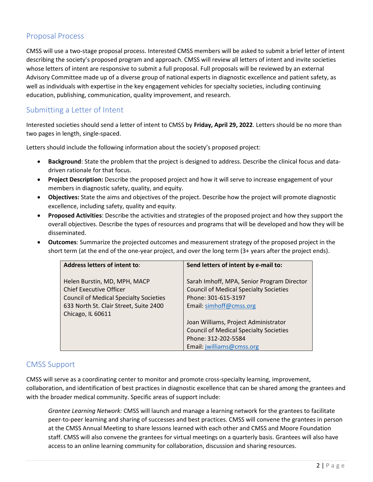## Proposal Process

CMSS will use a two-stage proposal process. Interested CMSS members will be asked to submit a brief letter of intent describing the society's proposed program and approach. CMSS will review all letters of intent and invite societies whose letters of intent are responsive to submit a full proposal. Full proposals will be reviewed by an external Advisory Committee made up of a diverse group of national experts in diagnostic excellence and patient safety, as well as individuals with expertise in the key engagement vehicles for specialty societies, including continuing education, publishing, communication, quality improvement, and research.

## Submitting a Letter of Intent

Interested societies should send a letter of intent to CMSS by Friday, April 29, 2022. Letters should be no more than two pages in length, single-spaced.

Letters should include the following information about the society's proposed project:

- Background: State the problem that the project is designed to address. Describe the clinical focus and datadriven rationale for that focus.
- Project Description: Describe the proposed project and how it will serve to increase engagement of your members in diagnostic safety, quality, and equity.
- Objectives: State the aims and objectives of the project. Describe how the project will promote diagnostic excellence, including safety, quality and equity.
- **Proposed Activities**: Describe the activities and strategies of the proposed project and how they support the overall objectives. Describe the types of resources and programs that will be developed and how they will be disseminated.
- Outcomes: Summarize the projected outcomes and measurement strategy of the proposed project in the short term (at the end of the one-year project, and over the long term (3+ years after the project ends).

| Address letters of intent to:                                                                                                                             | Send letters of intent by e-mail to:                                                                                                          |
|-----------------------------------------------------------------------------------------------------------------------------------------------------------|-----------------------------------------------------------------------------------------------------------------------------------------------|
| Helen Burstin, MD, MPH, MACP<br><b>Chief Executive Officer</b><br><b>Council of Medical Specialty Societies</b><br>633 North St. Clair Street, Suite 2400 | Sarah Imhoff, MPA, Senior Program Director<br><b>Council of Medical Specialty Societies</b><br>Phone: 301-615-3197<br>Email: simhoff@cmss.org |
| Chicago, IL 60611                                                                                                                                         | Joan Williams, Project Administrator<br><b>Council of Medical Specialty Societies</b><br>Phone: 312-202-5584<br>Email: jwilliams@cmss.org     |

#### CMSS Support

CMSS will serve as a coordinating center to monitor and promote cross-specialty learning, improvement, collaboration, and identification of best practices in diagnostic excellence that can be shared among the grantees and with the broader medical community. Specific areas of support include:

Grantee Learning Network: CMSS will launch and manage a learning network for the grantees to facilitate peer-to-peer learning and sharing of successes and best practices. CMSS will convene the grantees in person at the CMSS Annual Meeting to share lessons learned with each other and CMSS and Moore Foundation staff. CMSS will also convene the grantees for virtual meetings on a quarterly basis. Grantees will also have access to an online learning community for collaboration, discussion and sharing resources.